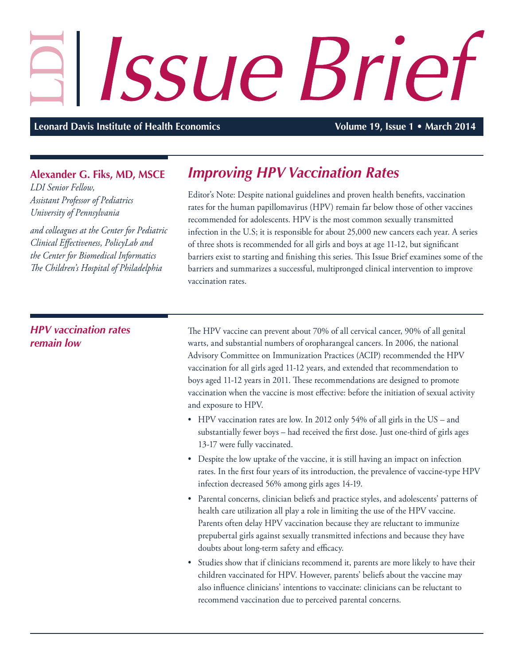## Issue Brief

**Leonard Davis Institute of Health Economics Volume 19, Issue 1 • March 2014** 

## **Alexander G. Fiks, MD, MSCE**

*LDI Senior Fellow, Assistant Professor of Pediatrics University of Pennsylvania*

*and colleagues at the Center for Pediatric Clinical Effectiveness, PolicyLab and the Center for Biomedical Informatics The Children's Hospital of Philadelphia*

## *Improving HPV Vaccination Rates*

Editor's Note: Despite national guidelines and proven health benefits, vaccination rates for the human papillomavirus (HPV) remain far below those of other vaccines recommended for adolescents. HPV is the most common sexually transmitted infection in the U.S; it is responsible for about 25,000 new cancers each year. A series of three shots is recommended for all girls and boys at age 11-12, but significant barriers exist to starting and finishing this series. This Issue Brief examines some of the barriers and summarizes a successful, multipronged clinical intervention to improve vaccination rates.

## *HPV vaccination rates remain low*

The HPV vaccine can prevent about 70% of all cervical cancer, 90% of all genital warts, and substantial numbers of oropharangeal cancers. In 2006, the national Advisory Committee on Immunization Practices (ACIP) recommended the HPV vaccination for all girls aged 11-12 years, and extended that recommendation to boys aged 11-12 years in 2011. These recommendations are designed to promote vaccination when the vaccine is most effective: before the initiation of sexual activity and exposure to HPV.

- HPV vaccination rates are low. In 2012 only 54% of all girls in the US and substantially fewer boys – had received the first dose. Just one-third of girls ages 13-17 were fully vaccinated.
- Despite the low uptake of the vaccine, it is still having an impact on infection rates. In the first four years of its introduction, the prevalence of vaccine-type HPV infection decreased 56% among girls ages 14-19.
- Parental concerns, clinician beliefs and practice styles, and adolescents' patterns of health care utilization all play a role in limiting the use of the HPV vaccine. Parents often delay HPV vaccination because they are reluctant to immunize prepubertal girls against sexually transmitted infections and because they have doubts about long-term safety and efficacy.
- Studies show that if clinicians recommend it, parents are more likely to have their children vaccinated for HPV. However, parents' beliefs about the vaccine may also influence clinicians' intentions to vaccinate: clinicians can be reluctant to recommend vaccination due to perceived parental concerns.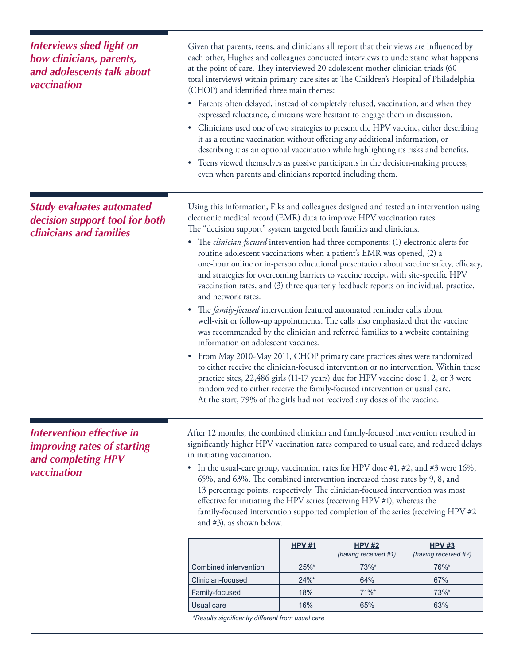| <b>Interviews shed light on</b><br>how clinicians, parents,<br>and adolescents talk about<br>vaccination | Given that parents, teens, and clinicians all report that their views are influenced by<br>each other, Hughes and colleagues conducted interviews to understand what happens<br>at the point of care. They interviewed 20 adolescent-mother-clinician triads (60<br>total interviews) within primary care sites at The Children's Hospital of Philadelphia<br>(CHOP) and identified three main themes:<br>• Parents often delayed, instead of completely refused, vaccination, and when they<br>expressed reluctance, clinicians were hesitant to engage them in discussion.                                                                                                                                                                                                                                                                                                                                                                                                                                                                                                                                                                                                                                                                                                                                                                                                                                                         |               |                                       |                                       |  |
|----------------------------------------------------------------------------------------------------------|--------------------------------------------------------------------------------------------------------------------------------------------------------------------------------------------------------------------------------------------------------------------------------------------------------------------------------------------------------------------------------------------------------------------------------------------------------------------------------------------------------------------------------------------------------------------------------------------------------------------------------------------------------------------------------------------------------------------------------------------------------------------------------------------------------------------------------------------------------------------------------------------------------------------------------------------------------------------------------------------------------------------------------------------------------------------------------------------------------------------------------------------------------------------------------------------------------------------------------------------------------------------------------------------------------------------------------------------------------------------------------------------------------------------------------------|---------------|---------------------------------------|---------------------------------------|--|
|                                                                                                          | • Clinicians used one of two strategies to present the HPV vaccine, either describing<br>it as a routine vaccination without offering any additional information, or<br>describing it as an optional vaccination while highlighting its risks and benefits.                                                                                                                                                                                                                                                                                                                                                                                                                                                                                                                                                                                                                                                                                                                                                                                                                                                                                                                                                                                                                                                                                                                                                                          |               |                                       |                                       |  |
|                                                                                                          | • Teens viewed themselves as passive participants in the decision-making process,<br>even when parents and clinicians reported including them.                                                                                                                                                                                                                                                                                                                                                                                                                                                                                                                                                                                                                                                                                                                                                                                                                                                                                                                                                                                                                                                                                                                                                                                                                                                                                       |               |                                       |                                       |  |
| <b>Study evaluates automated</b><br>decision support tool for both<br>clinicians and families            | Using this information, Fiks and colleagues designed and tested an intervention using<br>electronic medical record (EMR) data to improve HPV vaccination rates.<br>The "decision support" system targeted both families and clinicians.<br>• The <i>clinician-focused</i> intervention had three components: (1) electronic alerts for<br>routine adolescent vaccinations when a patient's EMR was opened, (2) a<br>one-hour online or in-person educational presentation about vaccine safety, efficacy,<br>and strategies for overcoming barriers to vaccine receipt, with site-specific HPV<br>vaccination rates, and (3) three quarterly feedback reports on individual, practice,<br>and network rates.<br>• The family-focused intervention featured automated reminder calls about<br>well-visit or follow-up appointments. The calls also emphasized that the vaccine<br>was recommended by the clinician and referred families to a website containing<br>information on adolescent vaccines.<br>From May 2010-May 2011, CHOP primary care practices sites were randomized<br>٠<br>to either receive the clinician-focused intervention or no intervention. Within these<br>practice sites, 22,486 girls (11-17 years) due for HPV vaccine dose 1, 2, or 3 were<br>randomized to either receive the family-focused intervention or usual care.<br>At the start, 79% of the girls had not received any doses of the vaccine. |               |                                       |                                       |  |
| <b>Intervention effective in</b><br>improving rates of starting<br>and completing HPV<br>vaccination     | After 12 months, the combined clinician and family-focused intervention resulted in<br>significantly higher HPV vaccination rates compared to usual care, and reduced delays<br>in initiating vaccination.<br>• In the usual-care group, vaccination rates for HPV dose #1, #2, and #3 were 16%,<br>65%, and 63%. The combined intervention increased those rates by 9, 8, and<br>13 percentage points, respectively. The clinician-focused intervention was most<br>effective for initiating the HPV series (receiving HPV #1), whereas the<br>family-focused intervention supported completion of the series (receiving HPV #2<br>and #3), as shown below.                                                                                                                                                                                                                                                                                                                                                                                                                                                                                                                                                                                                                                                                                                                                                                         |               |                                       |                                       |  |
|                                                                                                          |                                                                                                                                                                                                                                                                                                                                                                                                                                                                                                                                                                                                                                                                                                                                                                                                                                                                                                                                                                                                                                                                                                                                                                                                                                                                                                                                                                                                                                      | <b>HPV #1</b> | <b>HPV #2</b><br>(having received #1) | <b>HPV #3</b><br>(having received #2) |  |
|                                                                                                          | Combined intervention                                                                                                                                                                                                                                                                                                                                                                                                                                                                                                                                                                                                                                                                                                                                                                                                                                                                                                                                                                                                                                                                                                                                                                                                                                                                                                                                                                                                                | 25%*          | 73%*                                  | 76%*                                  |  |
|                                                                                                          | Clinician-focused                                                                                                                                                                                                                                                                                                                                                                                                                                                                                                                                                                                                                                                                                                                                                                                                                                                                                                                                                                                                                                                                                                                                                                                                                                                                                                                                                                                                                    | 24%*          | 64%                                   | 67%                                   |  |
|                                                                                                          | Family-focused                                                                                                                                                                                                                                                                                                                                                                                                                                                                                                                                                                                                                                                                                                                                                                                                                                                                                                                                                                                                                                                                                                                                                                                                                                                                                                                                                                                                                       | 18%           | $71\%$ *                              | 73%*                                  |  |

*\*Results significantly different from usual care*

Usual care 16% 65% 63%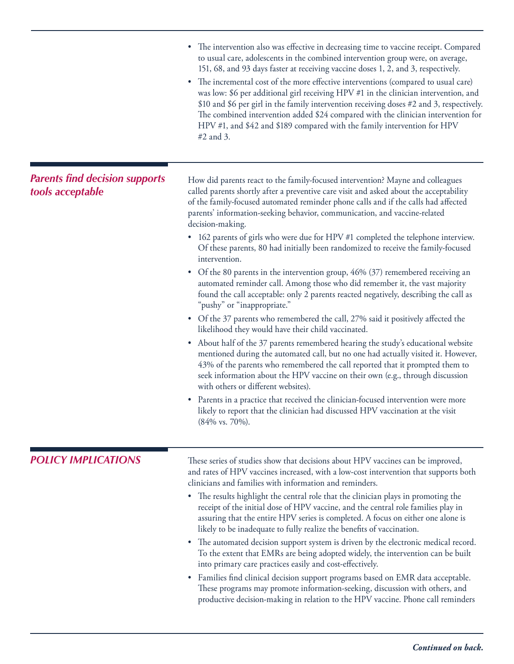|                                                           | • The intervention also was effective in decreasing time to vaccine receipt. Compared<br>to usual care, adolescents in the combined intervention group were, on average,<br>151, 68, and 93 days faster at receiving vaccine doses 1, 2, and 3, respectively.<br>The incremental cost of the more effective interventions (compared to usual care)<br>٠<br>was low: \$6 per additional girl receiving HPV #1 in the clinician intervention, and<br>\$10 and \$6 per girl in the family intervention receiving doses #2 and 3, respectively.<br>The combined intervention added \$24 compared with the clinician intervention for<br>HPV #1, and \$42 and \$189 compared with the family intervention for HPV<br>$#2$ and 3. |
|-----------------------------------------------------------|-----------------------------------------------------------------------------------------------------------------------------------------------------------------------------------------------------------------------------------------------------------------------------------------------------------------------------------------------------------------------------------------------------------------------------------------------------------------------------------------------------------------------------------------------------------------------------------------------------------------------------------------------------------------------------------------------------------------------------|
| <b>Parents find decision supports</b><br>tools acceptable | How did parents react to the family-focused intervention? Mayne and colleagues<br>called parents shortly after a preventive care visit and asked about the acceptability<br>of the family-focused automated reminder phone calls and if the calls had affected<br>parents' information-seeking behavior, communication, and vaccine-related<br>decision-making.<br>• 162 parents of girls who were due for HPV #1 completed the telephone interview.<br>Of these parents, 80 had initially been randomized to receive the family-focused                                                                                                                                                                                    |
|                                                           | intervention.<br>• Of the 80 parents in the intervention group, 46% (37) remembered receiving an<br>automated reminder call. Among those who did remember it, the vast majority<br>found the call acceptable: only 2 parents reacted negatively, describing the call as<br>"pushy" or "inappropriate."                                                                                                                                                                                                                                                                                                                                                                                                                      |
|                                                           | • Of the 37 parents who remembered the call, 27% said it positively affected the<br>likelihood they would have their child vaccinated.<br>About half of the 37 parents remembered hearing the study's educational website<br>$\bullet$<br>mentioned during the automated call, but no one had actually visited it. However,<br>43% of the parents who remembered the call reported that it prompted them to<br>seek information about the HPV vaccine on their own (e.g., through discussion<br>with others or different websites).                                                                                                                                                                                         |
|                                                           | • Parents in a practice that received the clinician-focused intervention were more<br>likely to report that the clinician had discussed HPV vaccination at the visit<br>$(84\% \text{ vs. } 70\%).$                                                                                                                                                                                                                                                                                                                                                                                                                                                                                                                         |
| <b>POLICY IMPLICATIONS</b>                                | These series of studies show that decisions about HPV vaccines can be improved,<br>and rates of HPV vaccines increased, with a low-cost intervention that supports both<br>clinicians and families with information and reminders.                                                                                                                                                                                                                                                                                                                                                                                                                                                                                          |
|                                                           | • The results highlight the central role that the clinician plays in promoting the<br>receipt of the initial dose of HPV vaccine, and the central role families play in<br>assuring that the entire HPV series is completed. A focus on either one alone is<br>likely to be inadequate to fully realize the benefits of vaccination.                                                                                                                                                                                                                                                                                                                                                                                        |
|                                                           | • The automated decision support system is driven by the electronic medical record.<br>To the extent that EMRs are being adopted widely, the intervention can be built<br>into primary care practices easily and cost-effectively.                                                                                                                                                                                                                                                                                                                                                                                                                                                                                          |
|                                                           | • Families find clinical decision support programs based on EMR data acceptable.<br>These programs may promote information-seeking, discussion with others, and<br>productive decision-making in relation to the HPV vaccine. Phone call reminders                                                                                                                                                                                                                                                                                                                                                                                                                                                                          |